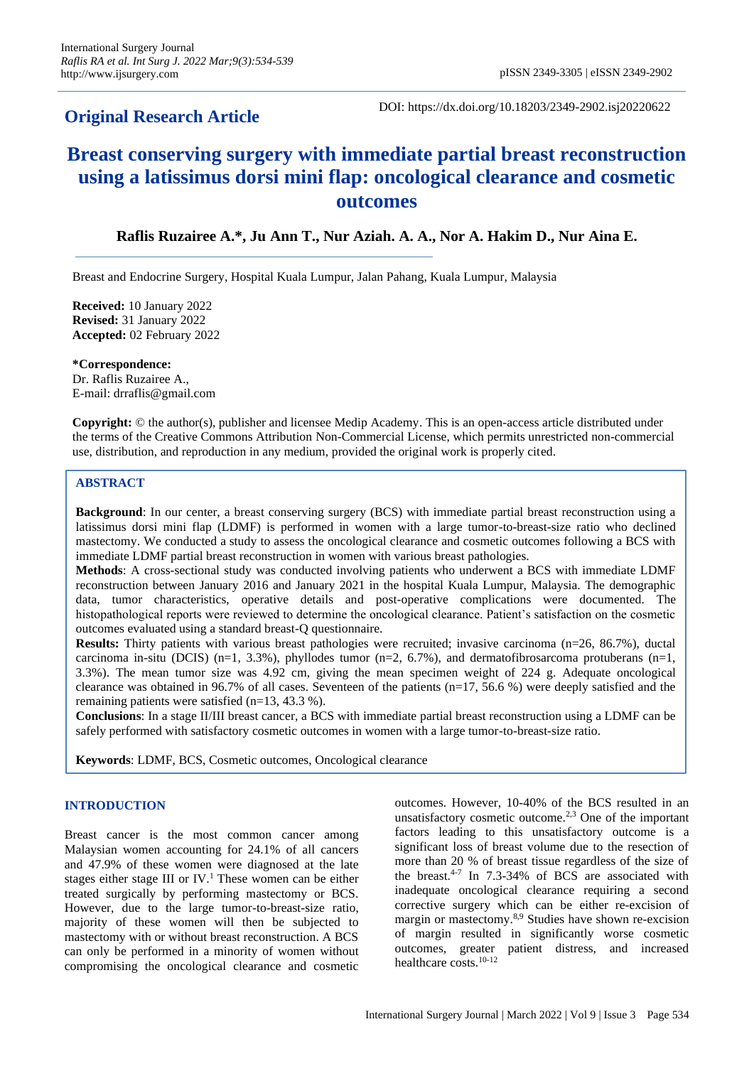# **Original Research Article**

DOI: https://dx.doi.org/10.18203/2349-2902.isj20220622

# **Breast conserving surgery with immediate partial breast reconstruction using a latissimus dorsi mini flap: oncological clearance and cosmetic outcomes**

**Raflis Ruzairee A.\*, Ju Ann T., Nur Aziah. A. A., Nor A. Hakim D., Nur Aina E.**

Breast and Endocrine Surgery, Hospital Kuala Lumpur, Jalan Pahang, Kuala Lumpur, Malaysia

**Received:** 10 January 2022 **Revised:** 31 January 2022 **Accepted:** 02 February 2022

**\*Correspondence:** Dr. Raflis Ruzairee A., E-mail: drraflis@gmail.com

**Copyright:** © the author(s), publisher and licensee Medip Academy. This is an open-access article distributed under the terms of the Creative Commons Attribution Non-Commercial License, which permits unrestricted non-commercial use, distribution, and reproduction in any medium, provided the original work is properly cited.

# **ABSTRACT**

**Background**: In our center, a breast conserving surgery (BCS) with immediate partial breast reconstruction using a latissimus dorsi mini flap (LDMF) is performed in women with a large tumor-to-breast-size ratio who declined mastectomy. We conducted a study to assess the oncological clearance and cosmetic outcomes following a BCS with immediate LDMF partial breast reconstruction in women with various breast pathologies.

**Methods**: A cross-sectional study was conducted involving patients who underwent a BCS with immediate LDMF reconstruction between January 2016 and January 2021 in the hospital Kuala Lumpur, Malaysia. The demographic data, tumor characteristics, operative details and post-operative complications were documented. The histopathological reports were reviewed to determine the oncological clearance. Patient's satisfaction on the cosmetic outcomes evaluated using a standard breast-Q questionnaire.

**Results:** Thirty patients with various breast pathologies were recruited; invasive carcinoma (n=26, 86.7%), ductal carcinoma in-situ (DCIS) (n=1, 3.3%), phyllodes tumor (n=2, 6.7%), and dermatofibrosarcoma protuberans (n=1, 3.3%). The mean tumor size was 4.92 cm, giving the mean specimen weight of 224 g. Adequate oncological clearance was obtained in 96.7% of all cases. Seventeen of the patients (n=17, 56.6 %) were deeply satisfied and the remaining patients were satisfied (n=13, 43.3 %).

**Conclusions**: In a stage II/III breast cancer, a BCS with immediate partial breast reconstruction using a LDMF can be safely performed with satisfactory cosmetic outcomes in women with a large tumor-to-breast-size ratio.

**Keywords**: LDMF, BCS, Cosmetic outcomes, Oncological clearance

# **INTRODUCTION**

Breast cancer is the most common cancer among Malaysian women accounting for 24.1% of all cancers and 47.9% of these women were diagnosed at the late stages either stage III or IV.<sup>1</sup> These women can be either treated surgically by performing mastectomy or BCS. However, due to the large tumor-to-breast-size ratio, majority of these women will then be subjected to mastectomy with or without breast reconstruction. A BCS can only be performed in a minority of women without compromising the oncological clearance and cosmetic outcomes. However, 10-40% of the BCS resulted in an unsatisfactory cosmetic outcome.2,3 One of the important factors leading to this unsatisfactory outcome is a significant loss of breast volume due to the resection of more than 20 % of breast tissue regardless of the size of the breast.4-7 In 7.3-34% of BCS are associated with inadequate oncological clearance requiring a second corrective surgery which can be either re-excision of margin or mastectomy.8,9 Studies have shown re-excision of margin resulted in significantly worse cosmetic outcomes, greater patient distress, and increased healthcare costs.10-12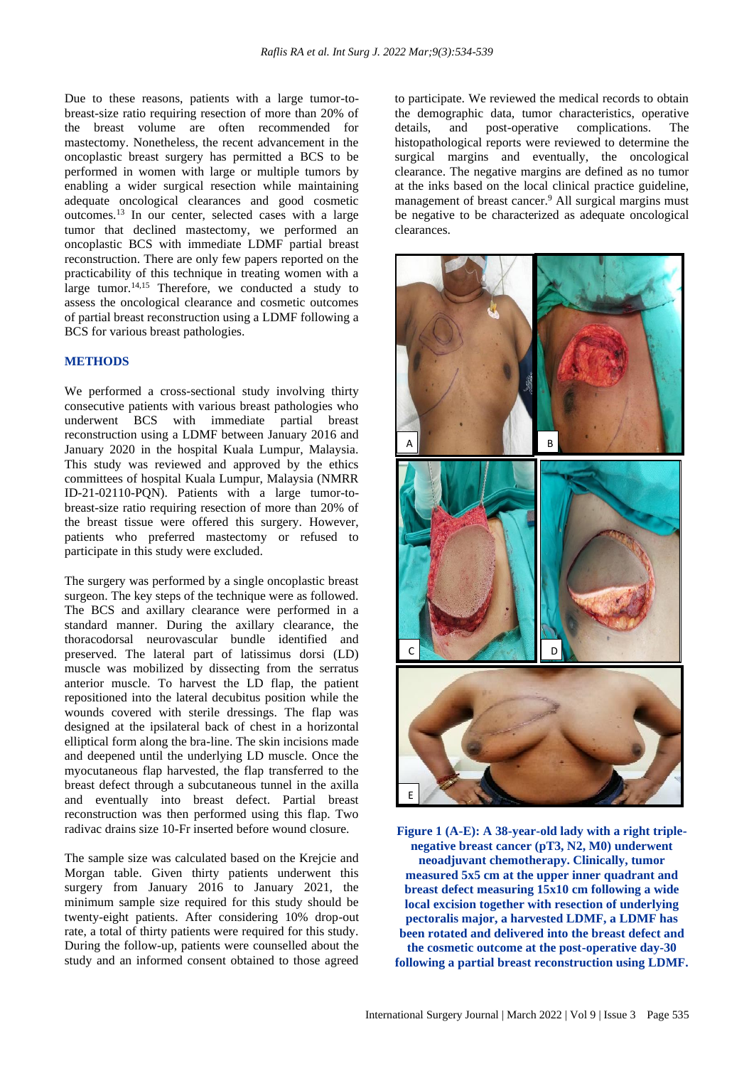Due to these reasons, patients with a large tumor-tobreast-size ratio requiring resection of more than 20% of the breast volume are often recommended for mastectomy. Nonetheless, the recent advancement in the oncoplastic breast surgery has permitted a BCS to be performed in women with large or multiple tumors by enabling a wider surgical resection while maintaining adequate oncological clearances and good cosmetic outcomes.<sup>13</sup> In our center, selected cases with a large tumor that declined mastectomy, we performed an oncoplastic BCS with immediate LDMF partial breast reconstruction. There are only few papers reported on the practicability of this technique in treating women with a large tumor.<sup>14,15</sup> Therefore, we conducted a study to assess the oncological clearance and cosmetic outcomes of partial breast reconstruction using a LDMF following a BCS for various breast pathologies.

#### **METHODS**

We performed a cross-sectional study involving thirty consecutive patients with various breast pathologies who underwent BCS with immediate partial breast reconstruction using a LDMF between January 2016 and January 2020 in the hospital Kuala Lumpur, Malaysia. This study was reviewed and approved by the ethics committees of hospital Kuala Lumpur, Malaysia (NMRR ID-21-02110-PQN). Patients with a large tumor-tobreast-size ratio requiring resection of more than 20% of the breast tissue were offered this surgery. However, patients who preferred mastectomy or refused to participate in this study were excluded.

The surgery was performed by a single oncoplastic breast surgeon. The key steps of the technique were as followed. The BCS and axillary clearance were performed in a standard manner. During the axillary clearance, the thoracodorsal neurovascular bundle identified and preserved. The lateral part of latissimus dorsi (LD) muscle was mobilized by dissecting from the serratus anterior muscle. To harvest the LD flap, the patient repositioned into the lateral decubitus position while the wounds covered with sterile dressings. The flap was designed at the ipsilateral back of chest in a horizontal elliptical form along the bra-line. The skin incisions made and deepened until the underlying LD muscle. Once the myocutaneous flap harvested, the flap transferred to the breast defect through a subcutaneous tunnel in the axilla and eventually into breast defect. Partial breast reconstruction was then performed using this flap. Two radivac drains size 10-Fr inserted before wound closure.

The sample size was calculated based on the Krejcie and Morgan table. Given thirty patients underwent this surgery from January 2016 to January 2021, the minimum sample size required for this study should be twenty-eight patients. After considering 10% drop-out rate, a total of thirty patients were required for this study. During the follow-up, patients were counselled about the study and an informed consent obtained to those agreed to participate. We reviewed the medical records to obtain the demographic data, tumor characteristics, operative details, and post-operative complications. The histopathological reports were reviewed to determine the surgical margins and eventually, the oncological clearance. The negative margins are defined as no tumor at the inks based on the local clinical practice guideline, management of breast cancer.<sup>9</sup> All surgical margins must be negative to be characterized as adequate oncological clearances.



**Figure 1 (A-E): A 38-year-old lady with a right triplenegative breast cancer (pT3, N2, M0) underwent neoadjuvant chemotherapy. Clinically, tumor measured 5x5 cm at the upper inner quadrant and breast defect measuring 15x10 cm following a wide local excision together with resection of underlying pectoralis major, a harvested LDMF, a LDMF has been rotated and delivered into the breast defect and the cosmetic outcome at the post-operative day-30 following a partial breast reconstruction using LDMF.**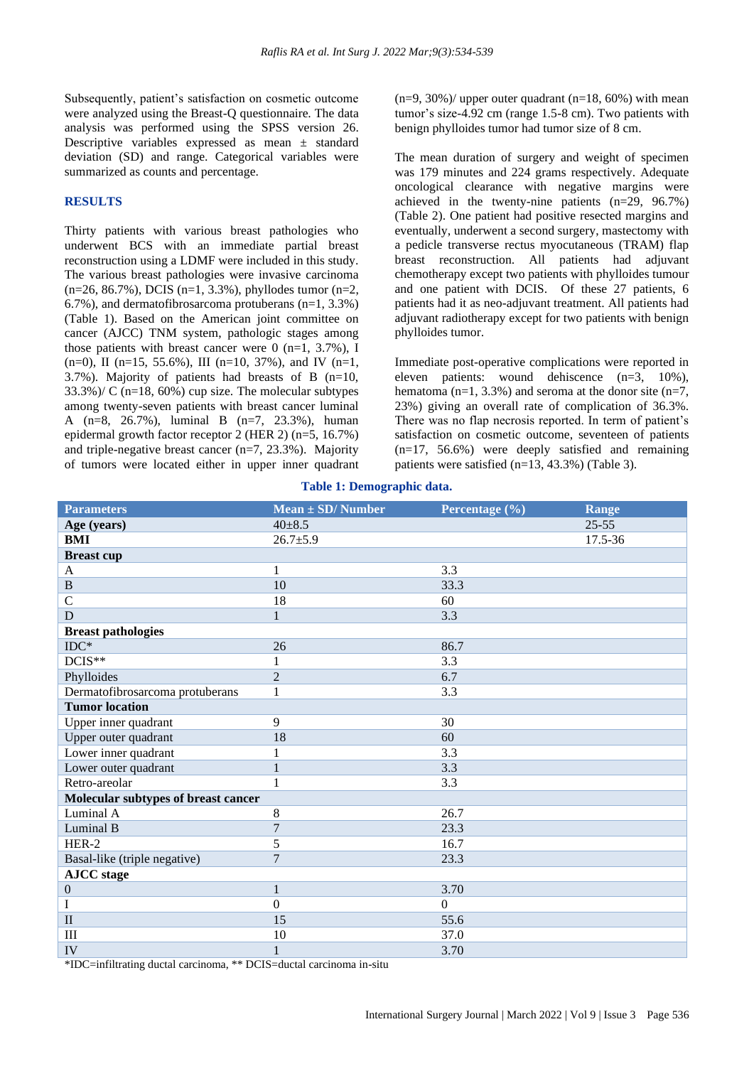Subsequently, patient's satisfaction on cosmetic outcome were analyzed using the Breast-Q questionnaire. The data analysis was performed using the SPSS version 26. Descriptive variables expressed as mean ± standard deviation (SD) and range. Categorical variables were summarized as counts and percentage.

#### **RESULTS**

Thirty patients with various breast pathologies who underwent BCS with an immediate partial breast reconstruction using a LDMF were included in this study. The various breast pathologies were invasive carcinoma  $(n=26, 86.7\%)$ , DCIS  $(n=1, 3.3\%)$ , phyllodes tumor  $(n=2, 1.5\%)$ 6.7%), and dermatofibrosarcoma protuberans (n=1, 3.3%) (Table 1). Based on the American joint committee on cancer (AJCC) TNM system, pathologic stages among those patients with breast cancer were 0 (n=1,  $3.7\%$ ), I  $(n=0)$ , II  $(n=15, 55.6\%)$ , III  $(n=10, 37\%)$ , and IV  $(n=1, 55.6\%)$ 3.7%). Majority of patients had breasts of B (n=10, 33.3%)/ C (n=18, 60%) cup size. The molecular subtypes among twenty-seven patients with breast cancer luminal A (n=8, 26.7%), luminal B (n=7, 23.3%), human epidermal growth factor receptor 2 (HER 2) (n=5, 16.7%) and triple-negative breast cancer (n=7, 23.3%). Majority of tumors were located either in upper inner quadrant  $(n=9, 30\%)$  upper outer quadrant  $(n=18, 60\%)$  with mean tumor's size-4.92 cm (range 1.5-8 cm). Two patients with benign phylloides tumor had tumor size of 8 cm.

The mean duration of surgery and weight of specimen was 179 minutes and 224 grams respectively. Adequate oncological clearance with negative margins were achieved in the twenty-nine patients (n=29, 96.7%) (Table 2). One patient had positive resected margins and eventually, underwent a second surgery, mastectomy with a pedicle transverse rectus myocutaneous (TRAM) flap breast reconstruction. All patients had adjuvant chemotherapy except two patients with phylloides tumour and one patient with DCIS. Of these 27 patients, 6 patients had it as neo-adjuvant treatment. All patients had adjuvant radiotherapy except for two patients with benign phylloides tumor.

Immediate post-operative complications were reported in eleven patients: wound dehiscence (n=3, 10%), hematoma (n=1, 3.3%) and seroma at the donor site (n=7, 23%) giving an overall rate of complication of 36.3%. There was no flap necrosis reported. In term of patient's satisfaction on cosmetic outcome, seventeen of patients (n=17, 56.6%) were deeply satisfied and remaining patients were satisfied (n=13, 43.3%) (Table 3).

#### **Table 1: Demographic data.**

| <b>Parameters</b>                   | $Mean \pm SD/Number$ | Percentage (%) | <b>Range</b> |
|-------------------------------------|----------------------|----------------|--------------|
| Age (years)                         | $40 \pm 8.5$         |                | $25 - 55$    |
| <b>BMI</b>                          | $26.7 \pm 5.9$       |                | 17.5-36      |
| <b>Breast cup</b>                   |                      |                |              |
| $\mathbf{A}$                        | $\mathbf{1}$         | 3.3            |              |
| $\, {\bf B}$                        | 10                   | 33.3           |              |
| $\mathcal{C}$                       | 18                   | 60             |              |
| D                                   | $\mathbf{1}$         | 3.3            |              |
| <b>Breast pathologies</b>           |                      |                |              |
| $IDC*$                              | 26                   | 86.7           |              |
| DCIS**                              | $\mathbf{1}$         | 3.3            |              |
| Phylloides                          | $\overline{2}$       | 6.7            |              |
| Dermatofibrosarcoma protuberans     | $\mathbf{1}$         | 3.3            |              |
| <b>Tumor location</b>               |                      |                |              |
| Upper inner quadrant                | 9                    | 30             |              |
| Upper outer quadrant                | 18                   | 60             |              |
| Lower inner quadrant                | 1                    | 3.3            |              |
| Lower outer quadrant                | $\mathbf{1}$         | 3.3            |              |
| Retro-areolar                       | 1                    | 3.3            |              |
| Molecular subtypes of breast cancer |                      |                |              |
| Luminal A                           | $8\,$                | 26.7           |              |
| Luminal B                           | $\overline{7}$       | 23.3           |              |
| HER-2                               | 5                    | 16.7           |              |
| Basal-like (triple negative)        | $\overline{7}$       | 23.3           |              |
| <b>AJCC</b> stage                   |                      |                |              |
| $\boldsymbol{0}$                    | $\mathbf{1}$         | 3.70           |              |
| I                                   | $\Omega$             | $\Omega$       |              |
| $\mathbf{I}$                        | 15                   | 55.6           |              |
| III                                 | $10\,$               | 37.0           |              |
| IV                                  | $\mathbf{1}$         | 3.70           |              |

\*IDC=infiltrating ductal carcinoma, \*\* DCIS=ductal carcinoma in-situ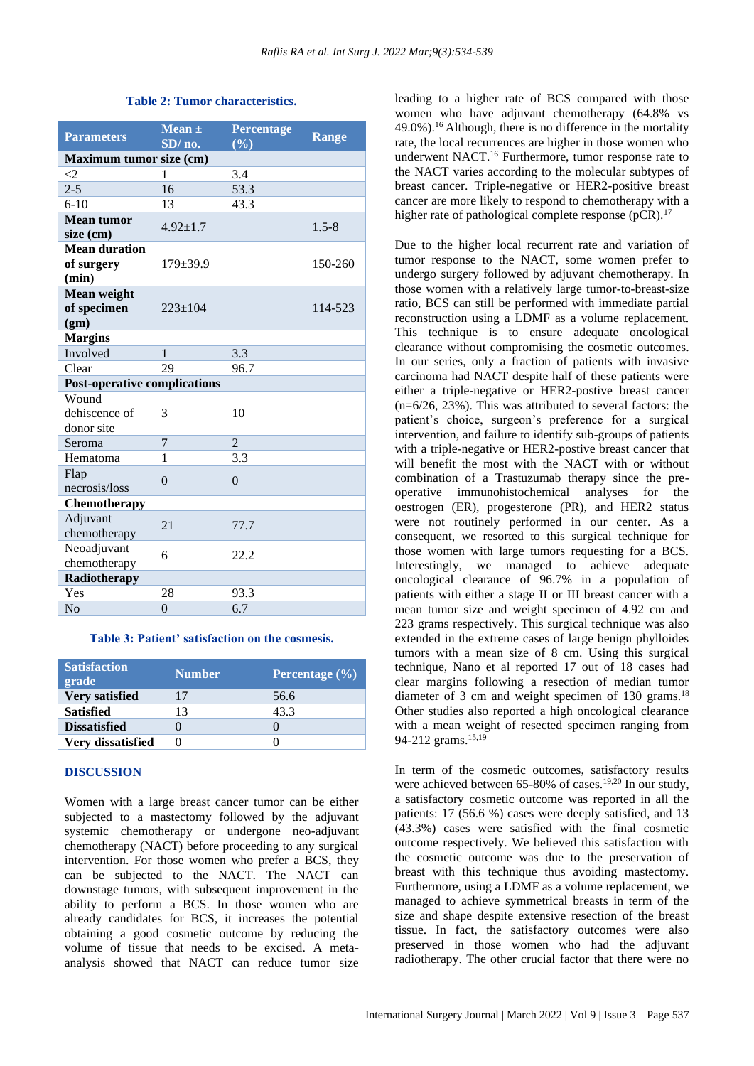| <b>Parameters</b>                           | Mean $\pm$<br>SD/no. | <b>Percentage</b><br>(9/0) | <b>Range</b> |  |  |
|---------------------------------------------|----------------------|----------------------------|--------------|--|--|
| Maximum tumor size (cm)                     |                      |                            |              |  |  |
| $\leq$ 2                                    | 1                    | 3.4                        |              |  |  |
| $2 - 5$                                     | 16                   | 53.3                       |              |  |  |
| $6-10$                                      | 13                   | 43.3                       |              |  |  |
| <b>Mean tumor</b><br>size (cm)              | $4.92 \pm 1.7$       |                            | $1.5 - 8$    |  |  |
| <b>Mean duration</b><br>of surgery<br>(min) | $179 \pm 39.9$       |                            | 150-260      |  |  |
| Mean weight<br>of specimen<br>(gm)          | $223 \pm 104$        |                            | 114-523      |  |  |
| <b>Margins</b>                              |                      |                            |              |  |  |
| Involved                                    | $\mathbf{1}$         | 3.3                        |              |  |  |
| Clear                                       | 29                   | 96.7                       |              |  |  |
| <b>Post-operative complications</b>         |                      |                            |              |  |  |
| Wound<br>dehiscence of<br>donor site        | 3                    | 10                         |              |  |  |
| Seroma                                      | 7                    | $\overline{2}$             |              |  |  |
| Hematoma                                    | 1                    | 3.3                        |              |  |  |
| Flap<br>necrosis/loss                       | $\Omega$             | $\Omega$                   |              |  |  |
| Chemotherapy                                |                      |                            |              |  |  |
| Adjuvant<br>chemotherapy                    | 21                   | 77.7                       |              |  |  |
| Neoadjuvant<br>chemotherapy                 | 6                    | 22.2                       |              |  |  |
| Radiotherapy                                |                      |                            |              |  |  |
| Yes                                         | 28                   | 93.3                       |              |  |  |
| N <sub>0</sub>                              | $\theta$             | 6.7                        |              |  |  |

#### **Table 2: Tumor characteristics.**

#### **Table 3: Patient' satisfaction on the cosmesis.**

| <b>Satisfaction</b><br>grade | <b>Number</b> | <b>Percentage</b> $(\%)$ |
|------------------------------|---------------|--------------------------|
| Very satisfied               | 17            | 56.6                     |
| <b>Satisfied</b>             | 13            | 43.3                     |
| <b>Dissatisfied</b>          |               | 0                        |
| Very dissatisfied            |               | 0                        |

#### **DISCUSSION**

Women with a large breast cancer tumor can be either subjected to a mastectomy followed by the adjuvant systemic chemotherapy or undergone neo-adjuvant chemotherapy (NACT) before proceeding to any surgical intervention. For those women who prefer a BCS, they can be subjected to the NACT. The NACT can downstage tumors, with subsequent improvement in the ability to perform a BCS. In those women who are already candidates for BCS, it increases the potential obtaining a good cosmetic outcome by reducing the volume of tissue that needs to be excised. A metaanalysis showed that NACT can reduce tumor size leading to a higher rate of BCS compared with those women who have adjuvant chemotherapy (64.8% vs  $49.0\%$ ).<sup>16</sup> Although, there is no difference in the mortality rate, the local recurrences are higher in those women who underwent NACT.<sup>16</sup> Furthermore, tumor response rate to the NACT varies according to the molecular subtypes of breast cancer. Triple-negative or HER2-positive breast cancer are more likely to respond to chemotherapy with a higher rate of pathological complete response (pCR).<sup>17</sup>

Due to the higher local recurrent rate and variation of tumor response to the NACT, some women prefer to undergo surgery followed by adjuvant chemotherapy. In those women with a relatively large tumor-to-breast-size ratio, BCS can still be performed with immediate partial reconstruction using a LDMF as a volume replacement. This technique is to ensure adequate oncological clearance without compromising the cosmetic outcomes. In our series, only a fraction of patients with invasive carcinoma had NACT despite half of these patients were either a triple-negative or HER2-postive breast cancer  $(n=6/26, 23%)$ . This was attributed to several factors: the patient's choice, surgeon's preference for a surgical intervention, and failure to identify sub-groups of patients with a triple-negative or HER2-postive breast cancer that will benefit the most with the NACT with or without combination of a Trastuzumab therapy since the preoperative immunohistochemical analyses for the oestrogen (ER), progesterone (PR), and HER2 status were not routinely performed in our center. As a consequent, we resorted to this surgical technique for those women with large tumors requesting for a BCS. Interestingly, we managed to achieve adequate oncological clearance of 96.7% in a population of patients with either a stage II or III breast cancer with a mean tumor size and weight specimen of 4.92 cm and 223 grams respectively. This surgical technique was also extended in the extreme cases of large benign phylloides tumors with a mean size of 8 cm. Using this surgical technique, Nano et al reported 17 out of 18 cases had clear margins following a resection of median tumor diameter of 3 cm and weight specimen of 130 grams.<sup>18</sup> Other studies also reported a high oncological clearance with a mean weight of resected specimen ranging from 94-212 grams.<sup>15,19</sup>

In term of the cosmetic outcomes, satisfactory results were achieved between 65-80% of cases.<sup>19,20</sup> In our study, a satisfactory cosmetic outcome was reported in all the patients: 17 (56.6 %) cases were deeply satisfied, and 13 (43.3%) cases were satisfied with the final cosmetic outcome respectively. We believed this satisfaction with the cosmetic outcome was due to the preservation of breast with this technique thus avoiding mastectomy. Furthermore, using a LDMF as a volume replacement, we managed to achieve symmetrical breasts in term of the size and shape despite extensive resection of the breast tissue. In fact, the satisfactory outcomes were also preserved in those women who had the adjuvant radiotherapy. The other crucial factor that there were no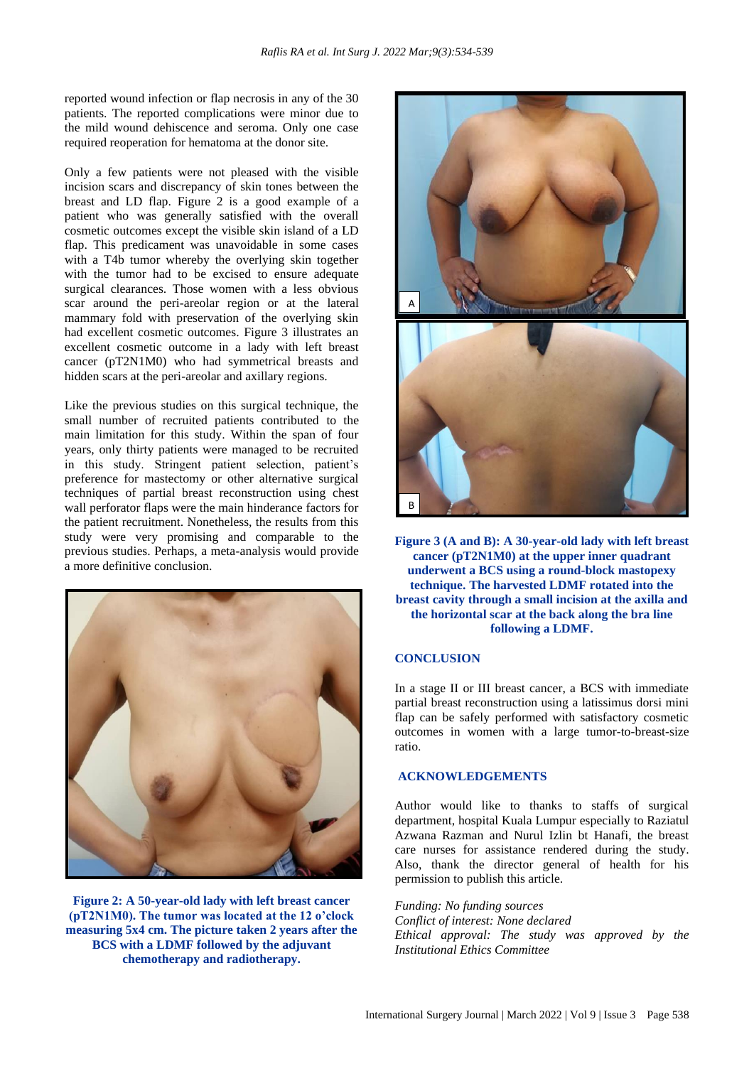reported wound infection or flap necrosis in any of the 30 patients. The reported complications were minor due to the mild wound dehiscence and seroma. Only one case required reoperation for hematoma at the donor site.

Only a few patients were not pleased with the visible incision scars and discrepancy of skin tones between the breast and LD flap. Figure 2 is a good example of a patient who was generally satisfied with the overall cosmetic outcomes except the visible skin island of a LD flap. This predicament was unavoidable in some cases with a T4b tumor whereby the overlying skin together with the tumor had to be excised to ensure adequate surgical clearances. Those women with a less obvious scar around the peri-areolar region or at the lateral mammary fold with preservation of the overlying skin had excellent cosmetic outcomes. Figure 3 illustrates an excellent cosmetic outcome in a lady with left breast cancer (pT2N1M0) who had symmetrical breasts and hidden scars at the peri-areolar and axillary regions.

Like the previous studies on this surgical technique, the small number of recruited patients contributed to the main limitation for this study. Within the span of four years, only thirty patients were managed to be recruited in this study. Stringent patient selection, patient's preference for mastectomy or other alternative surgical techniques of partial breast reconstruction using chest wall perforator flaps were the main hinderance factors for the patient recruitment. Nonetheless, the results from this study were very promising and comparable to the previous studies. Perhaps, a meta-analysis would provide a more definitive conclusion.



**Figure 2: A 50-year-old lady with left breast cancer (pT2N1M0). The tumor was located at the 12 o'clock measuring 5x4 cm. The picture taken 2 years after the BCS with a LDMF followed by the adjuvant chemotherapy and radiotherapy.**



**Figure 3 (A and B): A 30-year-old lady with left breast cancer (pT2N1M0) at the upper inner quadrant underwent a BCS using a round-block mastopexy technique. The harvested LDMF rotated into the breast cavity through a small incision at the axilla and the horizontal scar at the back along the bra line following a LDMF.**

# **CONCLUSION**

In a stage II or III breast cancer, a BCS with immediate partial breast reconstruction using a latissimus dorsi mini flap can be safely performed with satisfactory cosmetic outcomes in women with a large tumor-to-breast-size ratio.

# **ACKNOWLEDGEMENTS**

Author would like to thanks to staffs of surgical department, hospital Kuala Lumpur especially to Raziatul Azwana Razman and Nurul Izlin bt Hanafi, the breast care nurses for assistance rendered during the study. Also, thank the director general of health for his permission to publish this article.

*Funding: No funding sources Conflict of interest: None declared Ethical approval: The study was approved by the Institutional Ethics Committee*